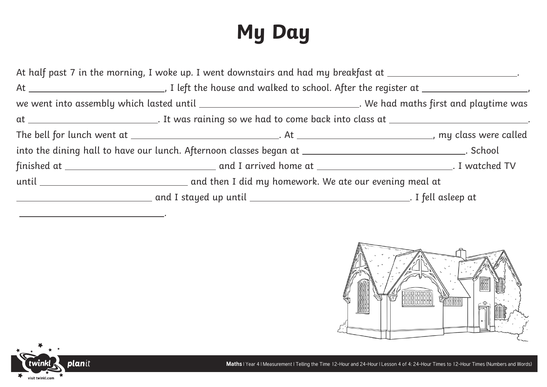## **My Day**

|  | At half past 7 in the morning, I woke up. I went downstairs and had my breakfast at _______________________. |                                                                                                                  |
|--|--------------------------------------------------------------------------------------------------------------|------------------------------------------------------------------------------------------------------------------|
|  |                                                                                                              |                                                                                                                  |
|  |                                                                                                              | we went into assembly which lasted until __________________________________. We had maths first and playtime was |
|  |                                                                                                              | at ______________________________. It was raining so we had to come back into class at _______________________   |
|  |                                                                                                              |                                                                                                                  |
|  |                                                                                                              |                                                                                                                  |
|  |                                                                                                              |                                                                                                                  |
|  |                                                                                                              |                                                                                                                  |
|  |                                                                                                              |                                                                                                                  |
|  |                                                                                                              |                                                                                                                  |